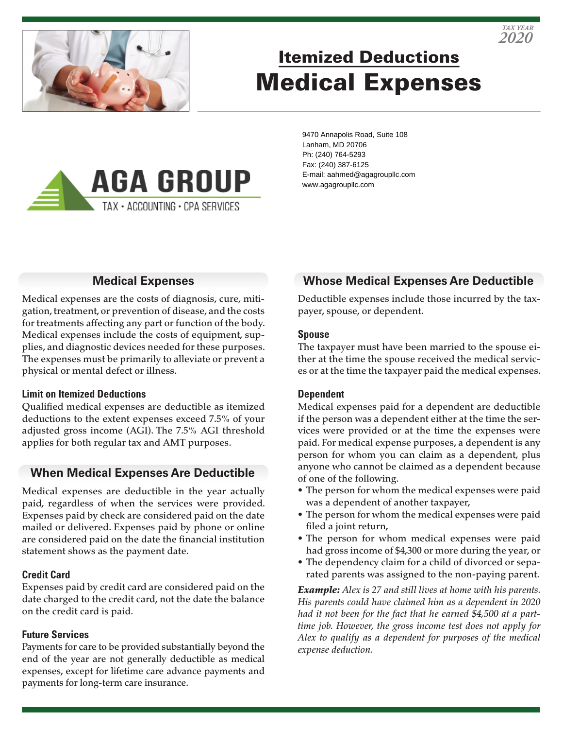

# Itemized Deductions Medical Expenses



9470 Annapolis Road, Suite 108 Lanham, MD 20706 Ph: (240) 764-5293 Fax: (240) 387-6125 E-mail: aahmed@agagroupllc.com www.agagroupllc.com

## **Medical Expenses**

Medical expenses are the costs of diagnosis, cure, mitigation, treatment, or prevention of disease, and the costs for treatments affecting any part or function of the body. Medical expenses include the costs of equipment, supplies, and diagnostic devices needed for these purposes. The expenses must be primarily to alleviate or prevent a physical or mental defect or illness.

#### **Limit on Itemized Deductions**

Qualified medical expenses are deductible as itemized deductions to the extent expenses exceed 7.5% of your adjusted gross income (AGI). The 7.5% AGI threshold applies for both regular tax and AMT purposes.

## **When Medical Expenses Are Deductible**

Medical expenses are deductible in the year actually paid, regardless of when the services were provided. Expenses paid by check are considered paid on the date mailed or delivered. Expenses paid by phone or online are considered paid on the date the financial institution statement shows as the payment date.

## **Credit Card**

Expenses paid by credit card are considered paid on the date charged to the credit card, not the date the balance on the credit card is paid.

#### **Future Services**

Payments for care to be provided substantially beyond the end of the year are not generally deductible as medical expenses, except for lifetime care advance payments and payments for long-term care insurance.

## **Whose Medical Expenses Are Deductible**

Deductible expenses include those incurred by the taxpayer, spouse, or dependent.

#### **Spouse**

The taxpayer must have been married to the spouse either at the time the spouse received the medical services or at the time the taxpayer paid the medical expenses.

## **Dependent**

Medical expenses paid for a dependent are deductible if the person was a dependent either at the time the services were provided or at the time the expenses were paid. For medical expense purposes, a dependent is any person for whom you can claim as a dependent, plus anyone who cannot be claimed as a dependent because of one of the following.

- The person for whom the medical expenses were paid was a dependent of another taxpayer,
- The person for whom the medical expenses were paid filed a joint return,
- The person for whom medical expenses were paid had gross income of \$4,300 or more during the year, or
- The dependency claim for a child of divorced or separated parents was assigned to the non-paying parent.

*Example: Alex is 27 and still lives at home with his parents. His parents could have claimed him as a dependent in 2020 had it not been for the fact that he earned \$4,500 at a parttime job. However, the gross income test does not apply for Alex to qualify as a dependent for purposes of the medical expense deduction.*